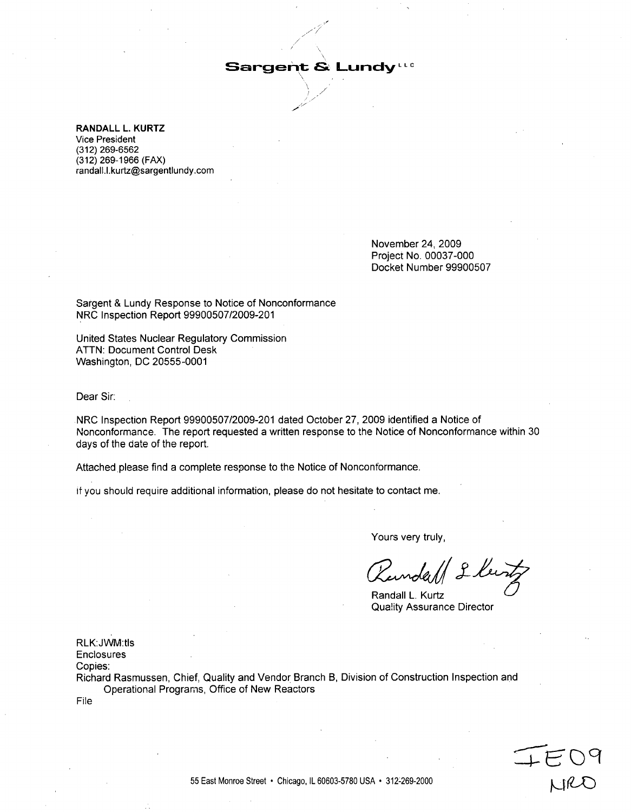### $S$ argent & **Lundy**

RANDALL L. KURTZ Vice President **(312) 269-6562** (312) 269-1966 (FAX) randall.l.kurtz@sargentlundy.com

> November 24, 2009 Project No. 00037-000 Docket Number 99900507

Sargent & Lundy Response to Notice of Nonconformance NRC Inspection Report 99900507/2009-201

United States Nuclear Regulatory Commission ATTN: Document Control Desk Washington, DC 20555-0001

Dear Sir:

.NRC Inspection Report 99900507/2009-201 dated October 27, 2009 identified a Notice of Nonconformance. The report requested a written response to the Notice of Nonconformance within 30 days of the date of the report.

Attached please find a complete response to the Notice of Nonconformance.

if you should require additional information, please do not hesitate to contact me.

Yours very truly,

Ranrlll **I IKi ir**

Qua!ity Assurance Director

RLK:JWM:tls

**Enclosures** 

Copies:

Richard Rasmussen, Chief, Quality and Vendor Branch B, Division of Construction Inspection and Operational Programs, Office of New Reactors

File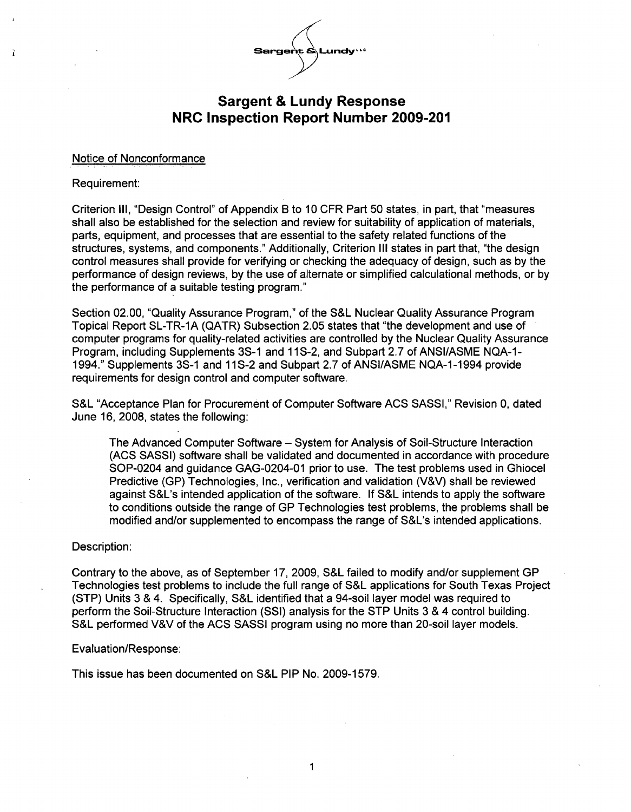

#### Notice of Nonconformance

#### Requirement:

f.

Criterion Ill, "Design Control" of Appendix B to 10 CFR Part 50 states, in part, that "measures shall also be established for the selection and review for suitability of application of materials, parts, equipment, and processes that are essential to the safety related functions of the structures, systems, and components." Additionally, Criterion III states in part that, "the design control measures shall provide for verifying or checking the adequacy of design, such as by the performance of design reviews, by the use of alternate or simplified calculational methods, or by the performance of a suitable testing program."

Section 02.00, "Quality Assurance Program," of the S&L Nuclear Quality Assurance Program Topical Report SL-TR-1A (QATR) Subsection 2.05 states that "the development and use of computer programs for quality-related activities are controlled by the Nuclear Quality Assurance Program, including Supplements 3S-1 and 11S-2, and Subpart 2.7 of ANSI/ASME NQA-1 **-** 1994." Supplements 3S-1 and 11S-2 and Subpart 2.7 of ANSI/ASME NQA-1 -1994 provide requirements for design control and computer software.

S&L "Acceptance Plan for Procurement of Computer Software ACS SASSI," Revision 0, dated June 16, 2008, states the following:

The Advanced Computer Software - System for Analysis of Soil-Structure Interaction (ACS SASSI) software shall be validated and documented in accordance with procedure SOP-0204 and guidance GAG-0204-01 prior to use. The test problems used in Ghiocel Predictive (GP) Technologies, Inc., verification and validation (V&V) shall be reviewed against S&L's intended application of the software. If S&L intends to apply the software to conditions outside the range of GP Technologies test problems, the problems shall be modified and/or supplemented to encompass the range of S&L's intended applications.

#### Description:

Contrary to the above, as of September 17, 2009, S&L failed to modify and/or supplement GP Technologies test problems to include the full range of S&L applications for South Texas Project (STP) Units 3 & 4. Specifically, S&L identified that a 94-soil layer model was required to perform the Soil-Structure Interaction (SSI) analysis for the STP Units 3 & 4 control building. S&L performed V&V of the ACS SASSI program using no more than 20-soil layer models.

#### Evaluation/Response:

This issue has been documented on S&L PIP No. 2009-1579.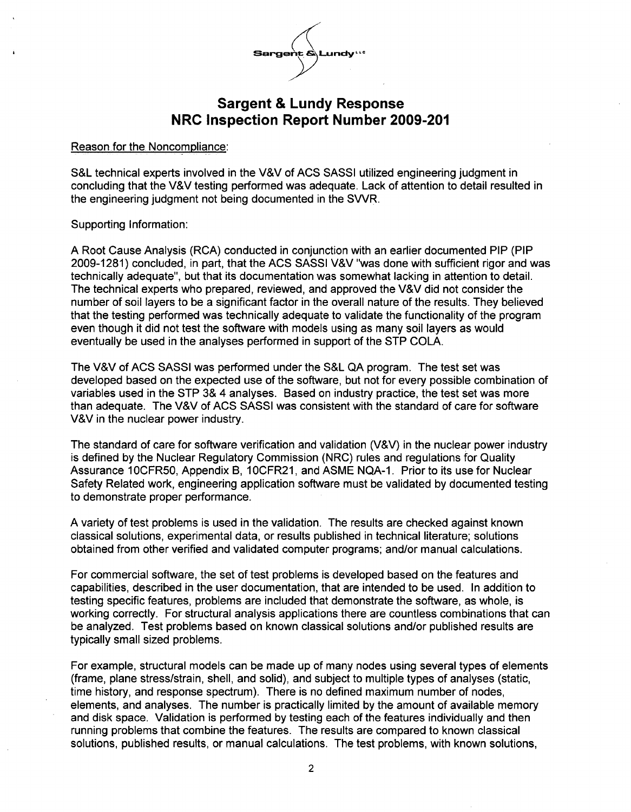

#### Reason for the Noncompliance:

S&L technical experts involved in the V&V of ACS SASSI utilized engineering judgment in concluding that the V&V testing performed was adequate. Lack of attention to detail resulted in the engineering judgment not being documented in the SWR.

#### Supporting Information:

A Root Cause Analysis (RCA) conducted in conjunction with an earlier documented PIP (PIP 2009-1281) concluded, in part, that the ACS SASSI V&V "was done with sufficient rigor and was technically adequate", but that its documentation was somewhat lacking in attention to detail. The technical experts who prepared, reviewed, and approved the V&V did not consider the number of soil layers to be a significant factor in the overall nature of the results. They believed that the testing performed was technically adequate to validate the functionality of the program even though it did not test the software with models using as many soil layers as would eventually be used in the analyses performed in support of the STP COLA.

The V&V of ACS SASSI was performed under the S&L QA program. The test set was developed based on the expected use of the software, but not for every possible combination of variables used in the STP 3& 4 analyses. Based on industry practice, the test set was more than adequate. The V&V of ACS SASSI was consistent with the standard of care for software V&V in the nuclear power industry.

The standard of care for software verification and validation (V&V) in the nuclear power industry is defined by the Nuclear Regulatory Commission (NRC) rules and regulations for Quality Assurance 1OCFR50, Appendix B, 1OCFR21, and ASME NQA-1. Prior to its use for Nuclear Safety Related work, engineering application software must be validated by documented testing to demonstrate proper performance.

A variety of test problems is used in the validation. The results are checked against known classical solutions, experimental data, or results published in technical literature; solutions obtained from other verified and validated computer programs; and/or manual calculations.

For commercial software, the set of test problems is developed based on the features and capabilities, described in the user documentation, that are intended to be used. In addition to testing specific features, problems are included that demonstrate the software, as whole, is working correctly. For structural analysis applications there are countless combinations that can be analyzed. Test problems based on known classical solutions and/or published results are typically small sized problems.

For example, structural models can be made up of many nodes using several types of elements (frame, plane stress/strain, shell, and solid), and subject to multiple types of analyses (static, time history, and response spectrum). There is no defined maximum number of nodes, elements, and analyses. The number is practically limited by the amount of available memory and disk space. Validation is performed by testing each of the features individually and then running problems that combine the features. The results are compared to known classical solutions, published results, or manual calculations. The test problems, with known solutions,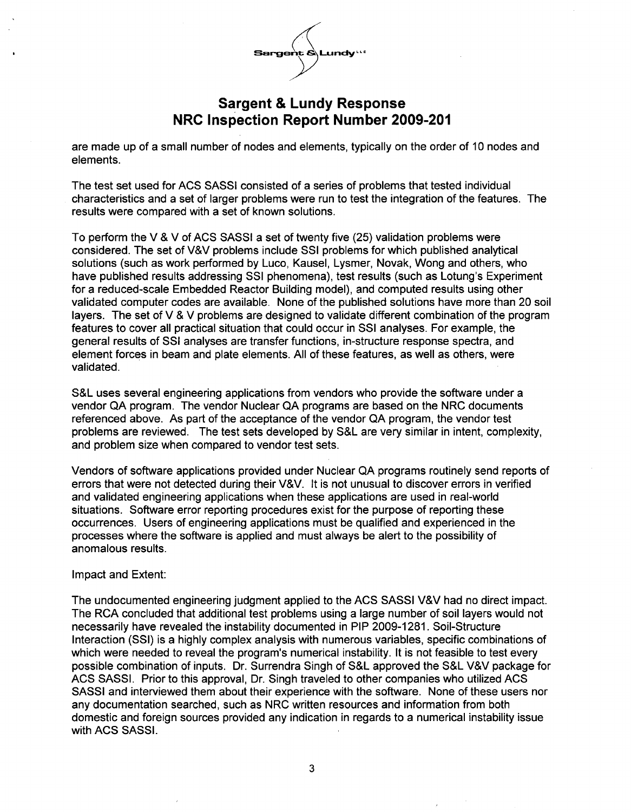

are made up of a small number of nodes and elements, typically on the order of 10 nodes and elements.

The test set used for ACS SASSI consisted of a series of problems that tested individual characteristics and a set of larger problems were run to test the integration of the features. The results were compared with a set of known solutions.

To perform the V & V of ACS SASSI a set of twenty five (25) validation problems were considered. The set of V&V problems include SSI problems for which published analytical solutions (such as work performed by Luco, Kausel, Lysmer, Novak, Wong and others, who have published results addressing SSI phenomena), test results (such as Lotung's Experiment for a reduced-scale Embedded Reactor Building model), and computed results using other validated computer codes are available. None of the published solutions have more than 20 soil layers. The set of V & V problems are designed to validate different combination of the program features to cover all practical situation that could occur in **SSI** analyses. For example, the general results of **SSI** analyses are transfer functions, in-structure response spectra, and element forces in beam and plate elements. All of these features, as well as others, were validated.

S&L uses several engineering applications from vendors who provide the software under a vendor QA program. The vendor Nuclear QA programs are based on the NRC documents referenced above. As part of the acceptance of the vendor QA program, the vendor test problems are reviewed. The test sets developed by S&L are very similar in intent, complexity, and problem size when compared to vendor test sets.

Vendors of software applications provided under Nuclear QA programs routinely send reports of errors that were not detected during their V&V. It is not unusual to discover errors in verified and validated engineering applications when these applications are used in real-world situations. Software error reporting procedures exist for the purpose of reporting these occurrences. Users of engineering applications must be qualified and experienced in the processes where the software is applied and must always be alert to the possibility of anomalous results.

#### Impact and Extent:

The undocumented engineering judgment applied to the ACS SASSI V&V had no direct impact. The RCA concluded that additional test problems using a large number of soil layers would not necessarily have revealed the instability documented in PIP 2009-1281. Soil-Structure Interaction (SSI) is a highly complex analysis with numerous variables, specific combinations of which were needed to reveal the program's numerical instability. It is not feasible to test every possible combination of inputs. Dr. Surrendra Singh of S&L approved the S&L V&V package for ACS SASSI. Prior to this approval, Dr. Singh traveled to other companies who utilized ACS SASSI and interviewed them about their experience with the software. None of these users nor any documentation searched, such as NRC written resources and information from both domestic and foreign sources provided any indication in regards to a numerical instability issue with ACS SASSI.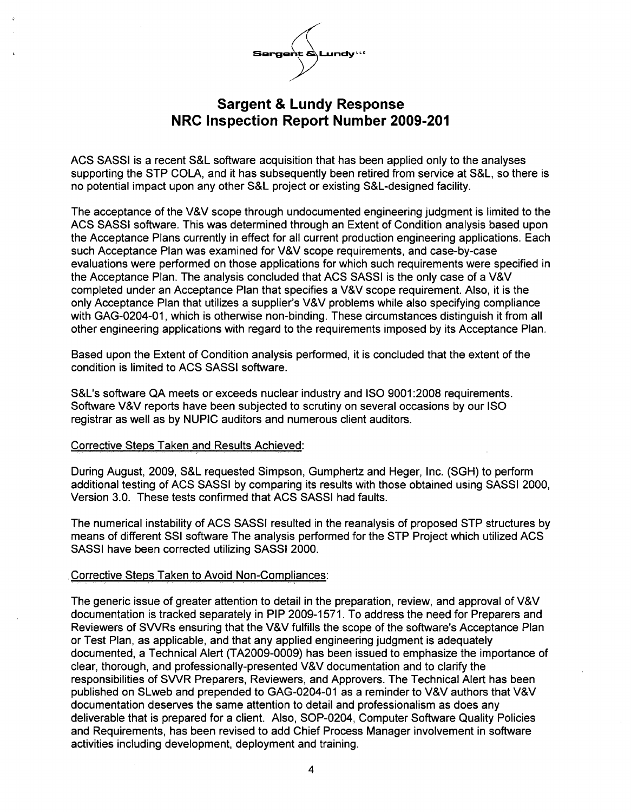

ACS SASSI is a recent S&L software acquisition that has been applied only to the analyses supporting the STP COLA, and it has subsequently been retired from service at S&L, so there is no potential impact upon any other S&L project or existing S&L-designed facility.

The acceptance of the V&V scope through undocumented engineering judgment is limited to the ACS SASSI software. This was determined through an Extent of Condition analysis based upon the Acceptance Plans currently in effect for all current production engineering applications. Each such Acceptance Plan was examined for V&V scope requirements, and case-by-case evaluations were performed on those applications for which such requirements were specified in the Acceptance Plan. The analysis concluded that ACS SASSI is the only case of a V&V completed under an Acceptance Plan that specifies a V&V scope requirement. Also, it is the only Acceptance Plan that utilizes a supplier's V&V problems while also specifying compliance with GAG-0204-01, which is otherwise non-binding. These circumstances distinguish it from all other engineering applications with regard to the requirements imposed by its Acceptance Plan.

Based upon the Extent of Condition analysis performed, it is concluded that the extent of the condition is limited to ACS SASSI software.

S&L's software QA meets or exceeds nuclear industry and ISO 9001:2008 requirements. Software V&V reports have been subjected to scrutiny on several occasions by our ISO registrar as well as by NUPIC auditors and numerous client auditors.

#### Corrective Steps Taken and Results Achieved:

During August, 2009, S&L requested Simpson, Gumphertz and Heger, Inc. (SGH) to perform additional testing of ACS SASSI by comparing its results with those obtained using SASSI 2000, Version 3.0. These tests confirmed that ACS SASSI had faults.

The numerical instability of ACS SASSI resulted in the reanalysis of proposed STP structures by means of different SSI software The analysis performed for the STP Project which utilized ACS SASSI have been corrected utilizing SASSI 2000.

### .Corrective Steps Taken to Avoid Non-Compliances:

The generic issue of greater attention to detail in the preparation, review, and approval of V&V documentation is tracked separately in PIP 2009-1571. To address the need for Preparers and Reviewers of SWRs ensuring that the V&V fulfills the scope of the software's Acceptance Plan or Test Plan, as applicable, and that any applied engineering judgment is adequately documented, a Technical Alert (TA2009-0009) has been issued to emphasize the importance of clear, thorough, and professionally-presented V&V documentation and to clarify the responsibilities of SWR Preparers, Reviewers, and Approvers. The Technical Alert has been published on SLweb and prepended to GAG-0204-01 as a reminder to V&V authors that V&V documentation deserves the same attention to detail and professionalism as does any deliverable that is prepared for a client. Also, SOP-0204, Computer Software Quality Policies and Requirements, has been revised to add Chief Process Manager involvement in software activities including development, deployment and training.